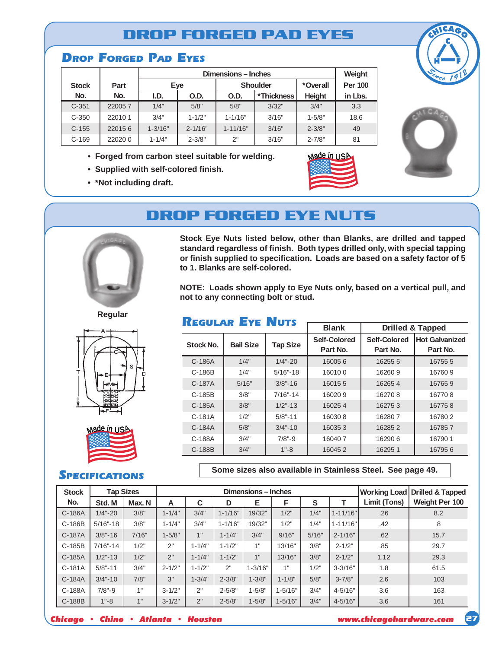### **DROP FORGED PAD EYES**

#### **DROP FORGED PAD EYES**

|              |        |             | Weight      |              |                 |               |                |
|--------------|--------|-------------|-------------|--------------|-----------------|---------------|----------------|
| <b>Stock</b> | Part   |             | Eye         |              | <b>Shoulder</b> | *Overall      | <b>Per 100</b> |
| No.          | No.    | I.D.        | O.D.        |              | *Thickness      | <b>Height</b> | in Lbs.        |
| $C-351$      | 220057 | 1/4"        | 5/8"        | 5/8"         | 3/32"           | 3/4"          | 3.3            |
| $C - 350$    | 220101 | 3/4"        | $1 - 1/2"$  | $1 - 1/16"$  | 3/16"           | $1 - 5/8"$    | 18.6           |
| $C-155$      | 220156 | $1 - 3/16"$ | $2 - 1/16"$ | $1 - 11/16"$ | 3/16"           | $2 - 3/8"$    | 49             |
| $C-169$      | 220200 | $1 - 1/4"$  | $2 - 3/8"$  | 2"           | 3/16"           | $2 - 7/8"$    | 81             |

- **• Forged from carbon steel suitable for welding.**
- **• Supplied with self-colored finish.**
- **• \*Not including draft.**







# **DROP FORGED EYE NUTS**



**Stock Eye Nuts listed below, other than Blanks, are drilled and tapped standard regardless of finish. Both types drilled only, with special tapping or finish supplied to specification. Loads are based on a safety factor of 5 to 1. Blanks are self-colored.**

**NOTE: Loads shown apply to Eye Nuts only, based on a vertical pull, and not to any connecting bolt or stud.**

### **REGULAR EYE NUTS**

|           |                  |                 | <b>Blank</b>             | <b>Drilled &amp; Tapped</b> |                                   |  |
|-----------|------------------|-----------------|--------------------------|-----------------------------|-----------------------------------|--|
| Stock No. | <b>Bail Size</b> | <b>Tap Size</b> | Self-Colored<br>Part No. | Self-Colored<br>Part No.    | <b>Hot Galvanized</b><br>Part No. |  |
| $C-186A$  | 1/4"             | $1/4 - 20$      | 160056                   | 16255 5                     | 16755 5                           |  |
| $C-186B$  | 1/4"             | $5/16" - 18$    | 160100                   | 162609                      | 167609                            |  |
| C-187A    | 5/16"            | $3/8 - 16$      | 160155                   | 162654                      | 167659                            |  |
| $C-185B$  | 3/8"             | $7/16 - 14$     | 160209                   | 162708                      | 167708                            |  |
| $C-185A$  | 3/8"             | $1/2$ "-13      | 160254                   | 162753                      | 167758                            |  |
| C-181A    | 1/2"             | $5/8" - 11$     | 160308                   | 162807                      | 167802                            |  |
| C-184A    | 5/8"             | $3/4 - 10$      | 160353                   | 162852                      | 167857                            |  |
| C-188A    | 3/4"             | $7/8" - 9$      | 160407                   | 162906                      | 167901                            |  |
| $C-188B$  | 3/4"             | $1 - 8$         | 160452                   | 162951                      | 167956                            |  |

**Some sizes also available in Stainless Steel. See page 49.**

| <b>Stock</b> |             | <b>Tap Sizes</b> | Dimensions - Inches |            |             |             |             |       |              |              | <b>Working Load Drilled &amp; Tapped</b> |
|--------------|-------------|------------------|---------------------|------------|-------------|-------------|-------------|-------|--------------|--------------|------------------------------------------|
| No.          | Std. M      | Max. N           | A                   | C          | D           | Е           | F           | S     |              | Limit (Tons) | Weight Per 100                           |
| C-186A       | $1/4 - 20$  | 3/8"             | $1 - 1/4"$          | 3/4"       | $1 - 1/16"$ | 19/32"      | 1/2"        | 1/4"  | $1 - 11/16"$ | .26          | 8.2                                      |
| C-186B       | $5/16 - 18$ | 3/8"             | $1 - 1/4"$          | 3/4"       | $1 - 1/16"$ | 19/32"      | 1/2"        | 1/4"  | $1 - 11/16"$ | .42          | 8                                        |
| C-187A       | $3/8" - 16$ | 7/16"            | $1 - 5/8"$          | 1"         | $1 - 1/4"$  | 3/4"        | 9/16"       | 5/16" | $2 - 1/16"$  | .62          | 15.7                                     |
| C-185B       | $7/16 - 14$ | 1/2"             | 2"                  | $1 - 1/4"$ | $1 - 1/2"$  | 1"          | 13/16"      | 3/8"  | $2 - 1/2"$   | .85          | 29.7                                     |
| C-185A       | $1/2$ "-13  | 1/2"             | 2"                  | $1 - 1/4"$ | $1 - 1/2"$  | 1"          | 13/16"      | 3/8"  | $2 - 1/2"$   | 1.12         | 29.3                                     |
| C-181A       | $5/8 - 11$  | 3/4"             | $2 - 1/2"$          | $1 - 1/2"$ | 2"          | $1 - 3/16"$ | 1"          | 1/2"  | $3 - 3/16"$  | 1.8          | 61.5                                     |
| C-184A       | $3/4 - 10$  | 7/8"             | 3"                  | $1 - 3/4"$ | $2 - 3/8"$  | $1 - 3/8"$  | $1 - 1/8"$  | 5/8"  | $3 - 7/8"$   | 2.6          | 103                                      |
| C-188A       | $7/8" - 9$  | 1"               | $3 - 1/2"$          | 2"         | $2 - 5/8"$  | $1 - 5/8"$  | $1 - 5/16"$ | 3/4"  | $4 - 5/16"$  | 3.6          | 163                                      |
| C-188B       | $1 - 8$     | 1"               | $3 - 1/2"$          | 2"         | $2 - 5/8"$  | $1 - 5/8"$  | $1 - 5/16"$ | 3/4"  | $4 - 5/16"$  | 3.6          | 161                                      |





wade *in* US

#### **SPECIFICATIONS**

*Chicago • Chino • Atlanta • Houston www.chicagohardware.com*